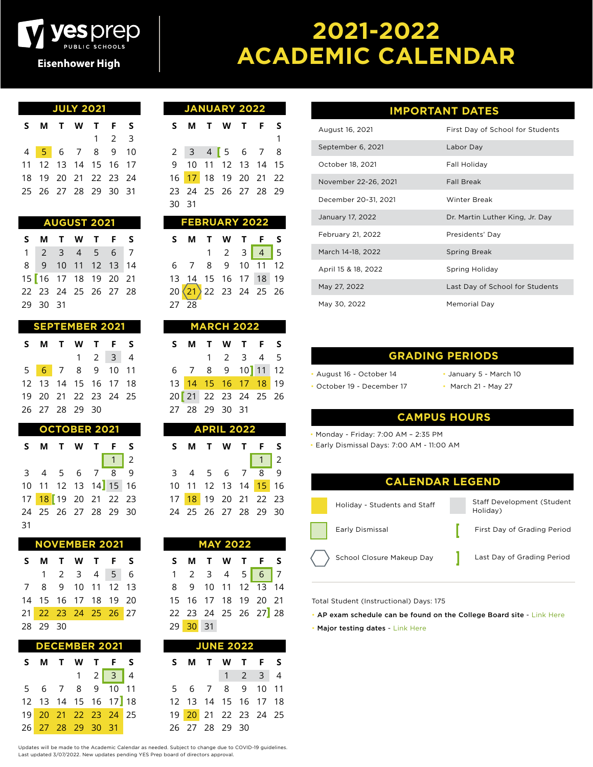

## **2021-2022 ACADEMIC CALENDAR**

| <b>JULY 2021</b> |  |                             |  |  |                     |  |  |  |  |  |
|------------------|--|-----------------------------|--|--|---------------------|--|--|--|--|--|
|                  |  | S M T W T F S               |  |  |                     |  |  |  |  |  |
|                  |  |                             |  |  | $1 \quad 2 \quad 3$ |  |  |  |  |  |
|                  |  | 4 <mark>5</mark> 6 7 8 9 10 |  |  |                     |  |  |  |  |  |
|                  |  | 11 12 13 14 15 16 17        |  |  |                     |  |  |  |  |  |
|                  |  | 18 19 20 21 22 23 24        |  |  |                     |  |  |  |  |  |
|                  |  | 25 26 27 28 29 30 31        |  |  |                     |  |  |  |  |  |
|                  |  |                             |  |  |                     |  |  |  |  |  |

| <b>AUGUST</b> |  | 2021 ' |
|---------------|--|--------|
|               |  |        |
|               |  |        |

**S M T W T F S** 2 3 4 5 6 7 9 10 11 12 13 14 16 17 18 19 20 21 23 24 25 26 27 28 29 30 31

| <b>SEPTEMBER 2021</b> |  |                |  |                             |  |  |  |  |  |  |
|-----------------------|--|----------------|--|-----------------------------|--|--|--|--|--|--|
|                       |  |                |  | S M T W T F S               |  |  |  |  |  |  |
|                       |  |                |  | $1 \quad 2 \quad 3 \quad 4$ |  |  |  |  |  |  |
|                       |  |                |  | 5 6 7 8 9 10 11             |  |  |  |  |  |  |
|                       |  |                |  | 12 13 14 15 16 17 18        |  |  |  |  |  |  |
|                       |  |                |  | 19 20 21 22 23 24 25        |  |  |  |  |  |  |
|                       |  | 26 27 28 29 30 |  |                             |  |  |  |  |  |  |

| <b>OCTOBER 2021</b> |  |                             |  |  |               |     |  |  |  |
|---------------------|--|-----------------------------|--|--|---------------|-----|--|--|--|
|                     |  | S M T W T F                 |  |  |               | - S |  |  |  |
|                     |  |                             |  |  | $\boxed{1}$ 2 |     |  |  |  |
|                     |  | $3 \t4 \t5 \t6 \t7 \t8 \t9$ |  |  |               |     |  |  |  |
|                     |  | 10 11 12 13 14 15 16        |  |  |               |     |  |  |  |
|                     |  | 17 18 19 20 21 22 23        |  |  |               |     |  |  |  |
|                     |  | 24 25 26 27 28 29 30        |  |  |               |     |  |  |  |
| 31                  |  |                             |  |  |               |     |  |  |  |

| <b>NOVEMBER 2021</b> |                      |  |  |                                             |  |  |  |  |  |  |
|----------------------|----------------------|--|--|---------------------------------------------|--|--|--|--|--|--|
|                      | S M T W T F S        |  |  |                                             |  |  |  |  |  |  |
|                      |                      |  |  | $1 \quad 2 \quad 3 \quad 4 \quad 5 \quad 6$ |  |  |  |  |  |  |
|                      | 7 8 9 10 11 12 13    |  |  |                                             |  |  |  |  |  |  |
|                      | 14 15 16 17 18 19 20 |  |  |                                             |  |  |  |  |  |  |
|                      | 21 22 23 24 25 26 27 |  |  |                                             |  |  |  |  |  |  |
|                      | 28 29 30             |  |  |                                             |  |  |  |  |  |  |

| <b>DECEMBER 2021</b> |                                                       |  |  |  |                             |  |  |  |  |
|----------------------|-------------------------------------------------------|--|--|--|-----------------------------|--|--|--|--|
|                      | S M T W T F S                                         |  |  |  |                             |  |  |  |  |
|                      |                                                       |  |  |  | $1 \quad 2 \quad 3 \quad 4$ |  |  |  |  |
|                      | $5\quad 6\quad 7\quad 8\quad 9\quad \overline{10}$ 11 |  |  |  |                             |  |  |  |  |
|                      | 12 13 14 15 16 17 18                                  |  |  |  |                             |  |  |  |  |
|                      | 19 20 21 22 23 24 25                                  |  |  |  |                             |  |  |  |  |
|                      | 26 27 28 29 30 31                                     |  |  |  |                             |  |  |  |  |

| <b>JANUARY 2022</b> |  |  |  |                      |  |   |  |  |  |  |
|---------------------|--|--|--|----------------------|--|---|--|--|--|--|
|                     |  |  |  | S M T W T F          |  | s |  |  |  |  |
|                     |  |  |  |                      |  |   |  |  |  |  |
|                     |  |  |  | $2$ 3 4 5 6 7 8      |  |   |  |  |  |  |
|                     |  |  |  | 9 10 11 12 13 14 15  |  |   |  |  |  |  |
|                     |  |  |  | 16 17 18 19 20 21 22 |  |   |  |  |  |  |
|                     |  |  |  | 23 24 25 26 27 28 29 |  |   |  |  |  |  |
| 30 31               |  |  |  |                      |  |   |  |  |  |  |

| <b>FEBRUARY 2022</b> |                                              |  |  |  |                                     |  |  |  |  |
|----------------------|----------------------------------------------|--|--|--|-------------------------------------|--|--|--|--|
|                      | S M T W T F S                                |  |  |  |                                     |  |  |  |  |
|                      |                                              |  |  |  | $1 \quad 2 \quad 3 \quad 4 \quad 5$ |  |  |  |  |
|                      | $6$ 7 8 9 10 11 12                           |  |  |  |                                     |  |  |  |  |
|                      |                                              |  |  |  |                                     |  |  |  |  |
|                      | 13 14 15 16 17 18 19<br>20 21 22 23 24 25 26 |  |  |  |                                     |  |  |  |  |
|                      | 27 28                                        |  |  |  |                                     |  |  |  |  |

| <b>MARCH 2022</b> |  |                |  |                      |  |  |  |  |
|-------------------|--|----------------|--|----------------------|--|--|--|--|
|                   |  |                |  | S M T W T F S        |  |  |  |  |
|                   |  |                |  | 1 2 3 4 5            |  |  |  |  |
|                   |  |                |  | 6 7 8 9 10 11 12     |  |  |  |  |
|                   |  |                |  | 13 14 15 16 17 18 19 |  |  |  |  |
|                   |  |                |  | 20 21 22 23 24 25 26 |  |  |  |  |
|                   |  | 27 28 29 30 31 |  |                      |  |  |  |  |
|                   |  |                |  |                      |  |  |  |  |

| <b>APRIL 2022</b> |  |  |  |              |                                                                 |     |  |  |  |
|-------------------|--|--|--|--------------|-----------------------------------------------------------------|-----|--|--|--|
|                   |  |  |  | <b>MTWTF</b> |                                                                 | - S |  |  |  |
|                   |  |  |  |              | $\begin{array}{ c c c c c } \hline 1 & 2 \\ \hline \end{array}$ |     |  |  |  |
|                   |  |  |  |              | $3$ 4 5 6 7 8 9                                                 |     |  |  |  |
|                   |  |  |  |              | 10 11 12 13 14 15 16                                            |     |  |  |  |
|                   |  |  |  |              | 17 18 19 20 21 22 23                                            |     |  |  |  |
|                   |  |  |  |              | 24 25 26 27 28 29 30                                            |     |  |  |  |

| <b>MAY 2022</b> |          |  |  |  |                             |  |  |  |  |
|-----------------|----------|--|--|--|-----------------------------|--|--|--|--|
| S.              |          |  |  |  | <b>MTWTFS</b>               |  |  |  |  |
|                 |          |  |  |  | $1 \t2 \t3 \t4 \t5 \t6 \t7$ |  |  |  |  |
| 8.              |          |  |  |  | 9 10 11 12 13 14            |  |  |  |  |
|                 |          |  |  |  | 15 16 17 18 19 20 21        |  |  |  |  |
|                 |          |  |  |  | 22 23 24 25 26 27 28        |  |  |  |  |
|                 | 29 30 31 |  |  |  |                             |  |  |  |  |

| <b>JUNE 2022</b> |  |                      |  |                             |  |  |  |  |  |
|------------------|--|----------------------|--|-----------------------------|--|--|--|--|--|
| S.               |  | <b>MTWTFS</b>        |  |                             |  |  |  |  |  |
|                  |  |                      |  | $1 \quad 2 \quad 3 \quad 4$ |  |  |  |  |  |
|                  |  | 5 6 7 8 9 10 11      |  |                             |  |  |  |  |  |
|                  |  | 12 13 14 15 16 17 18 |  |                             |  |  |  |  |  |
|                  |  | 19 20 21 22 23 24 25 |  |                             |  |  |  |  |  |
|                  |  | 26 27 28 29 30       |  |                             |  |  |  |  |  |

### **IMPORTANT DATES**

| August 16, 2021      | First Day of School for Students |
|----------------------|----------------------------------|
| September 6, 2021    | Labor Day                        |
| October 18, 2021     | Fall Holiday                     |
| November 22-26, 2021 | <b>Fall Break</b>                |
| December 20-31, 2021 | Winter Break                     |
| January 17, 2022     | Dr. Martin Luther King, Jr. Day  |
| February 21, 2022    | Presidents' Day                  |
| March 14-18, 2022    | <b>Spring Break</b>              |
| April 15 & 18, 2022  | Spring Holiday                   |
| May 27, 2022         | Last Day of School for Students  |
| May 30, 2022         | Memorial Day                     |

#### **GRADING PERIODS**

- August 16 October 14
- October 19 December 17
- January 5 March 10
- March 21 May 27

#### **CAMPUS HOURS**

• Monday - Friday: 7:00 AM – 2:35 PM

• Early Dismissal Days: 7:00 AM - 11:00 AM



Total Student (Instructional) Days: 175

- AP exam schedule can be found on the College Board site Link Here
- Major testing dates Link Here

Updates will be made to the Academic Calendar as needed. Subject to change due to COVID-19 guidelines. Last updated 3/07/2022. New updates pending YES Prep board of directors approval.